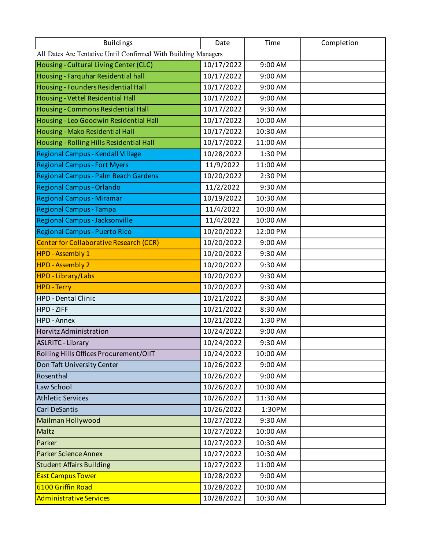| <b>Buildings</b>                                               | Date       | Time     | Completion |
|----------------------------------------------------------------|------------|----------|------------|
| All Dates Are Tentative Until Confirmed With Building Managers |            |          |            |
| Housing - Cultural Living Center (CLC)                         | 10/17/2022 | 9:00 AM  |            |
| Housing - Farquhar Residential hall                            | 10/17/2022 | 9:00 AM  |            |
| Housing - Founders Residential Hall                            | 10/17/2022 | 9:00 AM  |            |
| Housing - Vettel Residential Hall                              | 10/17/2022 | 9:00 AM  |            |
| Housing - Commons Residential Hall                             | 10/17/2022 | 9:30 AM  |            |
| Housing - Leo Goodwin Residential Hall                         | 10/17/2022 | 10:00 AM |            |
| Housing - Mako Residential Hall                                | 10/17/2022 | 10:30 AM |            |
| Housing - Rolling Hills Residential Hall                       | 10/17/2022 | 11:00 AM |            |
| Regional Campus - Kendall Village                              | 10/28/2022 | 1:30 PM  |            |
| <b>Regional Campus - Fort Myers</b>                            | 11/9/2022  | 11:00 AM |            |
| Regional Campus - Palm Beach Gardens                           | 10/20/2022 | 2:30 PM  |            |
| <b>Regional Campus - Orlando</b>                               | 11/2/2022  | 9:30 AM  |            |
| <b>Regional Campus - Miramar</b>                               | 10/19/2022 | 10:30 AM |            |
| <b>Regional Campus - Tampa</b>                                 | 11/4/2022  | 10:00 AM |            |
| <b>Regional Campus - Jacksonville</b>                          | 11/4/2022  | 10:00 AM |            |
| Regional Campus - Puerto Rico                                  | 10/20/2022 | 12:00 PM |            |
| <b>Center for Collaborative Research (CCR)</b>                 | 10/20/2022 | 9:00 AM  |            |
| HPD - Assembly 1                                               | 10/20/2022 | 9:30 AM  |            |
| <b>HPD - Assembly 2</b>                                        | 10/20/2022 | 9:30 AM  |            |
| <b>HPD-Library/Labs</b>                                        | 10/20/2022 | 9:30 AM  |            |
| <b>HPD - Terry</b>                                             | 10/20/2022 | 9:30 AM  |            |
| HPD - Dental Clinic                                            | 10/21/2022 | 8:30 AM  |            |
| HPD - ZIFF                                                     | 10/21/2022 | 8:30 AM  |            |
| HPD - Annex                                                    | 10/21/2022 | 1:30 PM  |            |
| Horvitz Administration                                         | 10/24/2022 | 9:00 AM  |            |
| <b>ASLRITC - Library</b>                                       | 10/24/2022 | 9:30 AM  |            |
| Rolling Hills Offices Procurement/OIIT                         | 10/24/2022 | 10:00 AM |            |
| Don Taft University Center                                     | 10/26/2022 | 9:00 AM  |            |
| Rosenthal                                                      | 10/26/2022 | 9:00 AM  |            |
| Law School                                                     | 10/26/2022 | 10:00 AM |            |
| <b>Athletic Services</b>                                       | 10/26/2022 | 11:30 AM |            |
| <b>Carl DeSantis</b>                                           | 10/26/2022 | 1:30PM   |            |
| Mailman Hollywood                                              | 10/27/2022 | 9:30 AM  |            |
| Maltz                                                          | 10/27/2022 | 10:00 AM |            |
| Parker                                                         | 10/27/2022 | 10:30 AM |            |
| <b>Parker Science Annex</b>                                    | 10/27/2022 | 10:30 AM |            |
| <b>Student Affairs Building</b>                                | 10/27/2022 | 11:00 AM |            |
| <b>East Campus Tower</b>                                       | 10/28/2022 | 9:00 AM  |            |
| 6100 Griffin Road                                              | 10/28/2022 | 10:00 AM |            |
| <b>Administrative Services</b>                                 | 10/28/2022 | 10:30 AM |            |